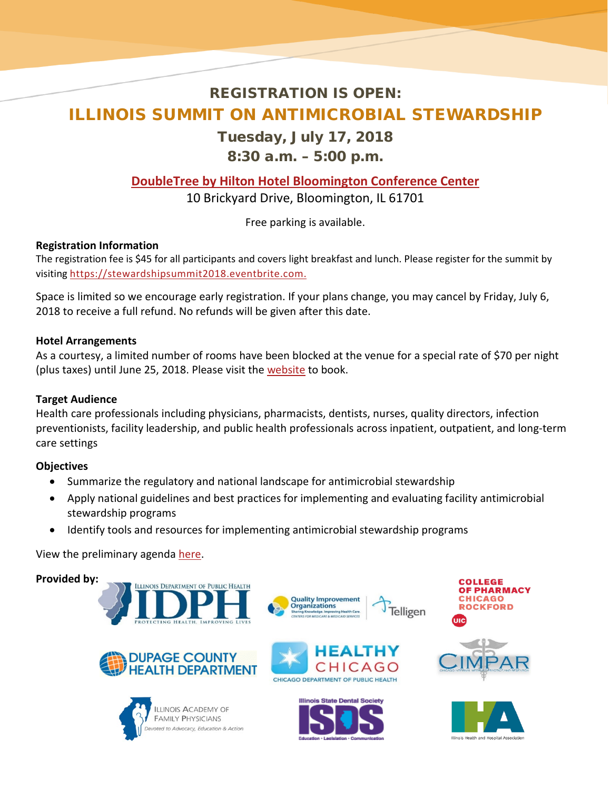# REGISTRATION IS OPEN: ILLINOIS SUMMIT ON ANTIMICROBIAL STEWARDSHIP

### Tuesday, July 17, 2018

8:30 a.m. – 5:00 p.m.

## **[DoubleTree by Hilton Hotel Bloomington Conference Center](http://doubletree3.hilton.com/en/hotels/illinois/doubletree-by-hilton-hotel-bloomington-BMIDTDT/index.html)**

10 Brickyard Drive, Bloomington, IL 61701

Free parking is available.

### **Registration Information**

The registration fee is \$45 for all participants and covers light breakfast and lunch. Please register for the summit by visiting [https://stewardshipsummit2018.eventbrite.com.](https://stewardshipsummit2018.eventbrite.com/)

Space is limited so we encourage early registration. If your plans change, you may cancel by Friday, July 6, 2018 to receive a full refund. No refunds will be given after this date.

#### **Hotel Arrangements**

As a courtesy, a limited number of rooms have been blocked at the venue for a special rate of \$70 per night (plus taxes) until June 25, 2018. Please visit th[e website](http://doubletree.hilton.com/en/dt/groups/personalized/B/BMIDTDT-ISA-20180716/index.jhtml?WT.mc_id=POG) to book.

#### **Target Audience**

Health care professionals including physicians, pharmacists, dentists, nurses, quality directors, infection preventionists, facility leadership, and public health professionals across inpatient, outpatient, and long-term care settings

#### **Objectives**

- Summarize the regulatory and national landscape for antimicrobial stewardship
- Apply national guidelines and best practices for implementing and evaluating facility antimicrobial stewardship programs
- Identify tools and resources for implementing antimicrobial stewardship programs

#### View the preliminary agenda [here.](http://www.dph.illinois.gov/sites/default/files/resources/AMS-Summit-Agenda-2018.pdf)

#### **Provided by:**









**Telligen** 

**Quality Improvement Organizations**